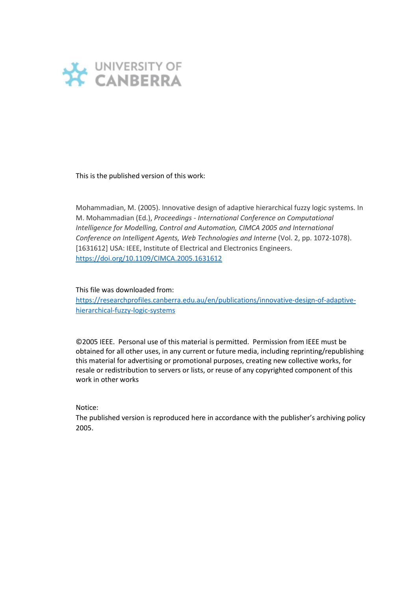

This is the published version of this work:

Mohammadian, M. (2005). Innovative design of adaptive hierarchical fuzzy logic systems. In M. Mohammadian (Ed.), *Proceedings - International Conference on Computational Intelligence for Modelling, Control and Automation, CIMCA 2005 and International Conference on Intelligent Agents, Web Technologies and Interne* (Vol. 2, pp. 1072-1078). [1631612] USA: IEEE, Institute of Electrical and Electronics Engineers. <https://doi.org/10.1109/CIMCA.2005.1631612>

This file was downloaded from:

[https://researchprofiles.canberra.edu.au/en/publications/innovative-design-of-adaptive](https://researchprofiles.canberra.edu.au/en/publications/innovative-design-of-adaptive-hierarchical-fuzzy-logic-systems)[hierarchical-fuzzy-logic-systems](https://researchprofiles.canberra.edu.au/en/publications/innovative-design-of-adaptive-hierarchical-fuzzy-logic-systems)

©2005 IEEE. Personal use of this material is permitted. Permission from IEEE must be obtained for all other uses, in any current or future media, including reprinting/republishing this material for advertising or promotional purposes, creating new collective works, for resale or redistribution to servers or lists, or reuse of any copyrighted component of this work in other works

Notice:

The published version is reproduced here in accordance with the publisher's archiving policy 2005.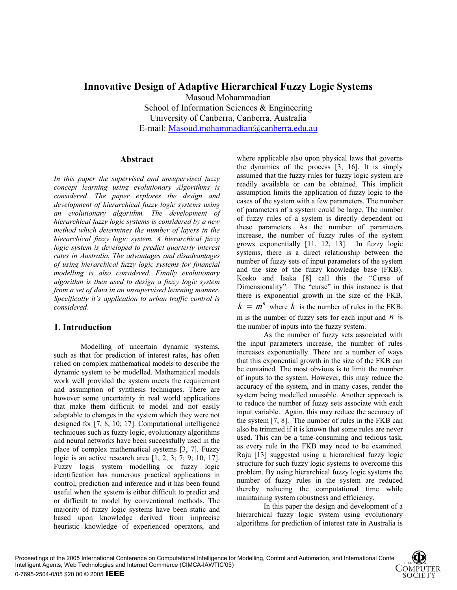# **Innovative Design of Adaptive Hierarchical Fuzzy Logic Systems**

Masoud Mohammadian

School of Information Sciences & Engineering University of Canberra, Canberra, Australia

E-mail: Masoud.mohammadian@canberra.edu.au

### **Abstract**

*In this paper the supervised and unsupervised fuzzy concept learning using evolutionary Algorithms is considered. The paper explores the design and development of hierarchical fuzzy logic systems using an evolutionary algorithm. The development of hierarchical fuzzy logic systems is considered by a new method which determines the number of layers in the hierarchical fuzzy logic system. A hierarchical fuzzy logic system is developed to predict quarterly interest rates in Australia. The advantages and disadvantages of using hierarchical fuzzy logic systems for financial modelling is also considered. Finally evolutionary algorithm is then used to design a fuzzy logic system from a set of data in an unsupervised learning manner. Specifically it's application to urban traffic control is considered.* 

# **1. Introduction**

Modelling of uncertain dynamic systems, such as that for prediction of interest rates, has often relied on complex mathematical models to describe the dynamic system to be modelled. Mathematical models work well provided the system meets the requirement and assumption of synthesis techniques. There are however some uncertainty in real world applications that make them difficult to model and not easily adaptable to changes in the system which they were not designed for [7, 8, 10; 17]. Computational intelligence techniques such as fuzzy logic, evolutionary algorithms and neural networks have been successfully used in the place of complex mathematical systems [3, 7]. Fuzzy logic is an active research area [1, 2, 3; 7; 9; 10, 17]. Fuzzy logis system modelling or fuzzy logic identification has numerous practical applications in control, prediction and inference and it has been found useful when the system is either difficult to predict and or difficult to model by conventional methods. The majority of fuzzy logic systems have been static and based upon knowledge derived from imprecise heuristic knowledge of experienced operators, and

where applicable also upon physical laws that governs the dynamics of the process [3, 16]. It is simply assumed that the fuzzy rules for fuzzy logic system are readily available or can be obtained. This implicit assumption limits the application of fuzzy logic to the cases of the system with a few parameters. The number of parameters of a system could be large. The number of fuzzy rules of a system is directly dependent on these parameters. As the number of parameters increase, the number of fuzzy rules of the system grows exponentially [11, 12, 13]. In fuzzy logic systems, there is a direct relationship between the number of fuzzy sets of input parameters of the system and the size of the fuzzy knowledge base (FKB). Kosko and Isaka [8] call this the "Curse of Dimensionality". The "curse" in this instance is that there is exponential growth in the size of the FKB,  $k = m^n$  where k is the number of rules in the FKB, m is the number of fuzzy sets for each input and *n* is the number of inputs into the fuzzy system.

As the number of fuzzy sets associated with the input parameters increase, the number of rules increases exponentially. There are a number of ways that this exponential growth in the size of the FKB can be contained. The most obvious is to limit the number of inputs to the system. However, this may reduce the accuracy of the system, and in many cases, render the system being modelled unusable. Another approach is to reduce the number of fuzzy sets associate with each input variable. Again, this may reduce the accuracy of the system [7, 8]. The number of rules in the FKB can also be trimmed if it is known that some rules are never used. This can be a time-consuming and tedious task, as every rule in the FKB may need to be examined. Raju [13] suggested using a hierarchical fuzzy logic structure for such fuzzy logic systems to overcome this problem. By using hierarchical fuzzy logic systems the number of fuzzy rules in the system are reduced thereby reducing the computational time while maintaining system robustness and efficiency.

In this paper the design and development of a hierarchical fuzzy logic system using evolutionary algorithms for prediction of interest rate in Australia is

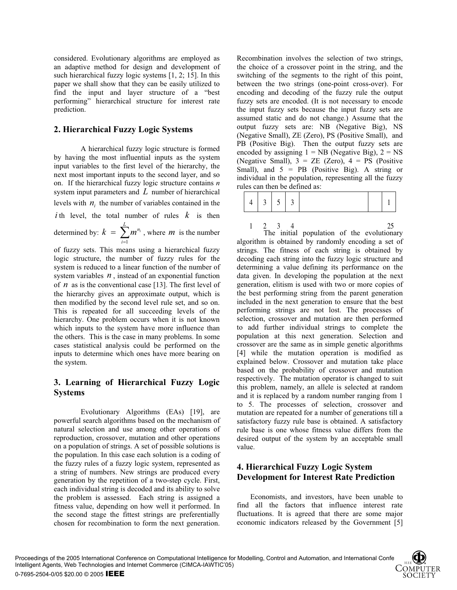considered. Evolutionary algorithms are employed as an adaptive method for design and development of such hierarchical fuzzy logic systems [1, 2; 15]. In this paper we shall show that they can be easily utilized to find the input and layer structure of a "best performing" hierarchical structure for interest rate prediction.

### **2. Hierarchical Fuzzy Logic Systems**

A hierarchical fuzzy logic structure is formed by having the most influential inputs as the system input variables to the first level of the hierarchy, the next most important inputs to the second layer, and so on. If the hierarchical fuzzy logic structure contains *n* system input parameters and  $L$  number of hierarchical levels with  $n_i$  the number of variables contained in the

if the level, the total number of rules  $k$  is then  $\sum_{n=1}^{\infty}$ 

determined by:  $k = \sum_{i=1}^{n} m^{n_i}$ , where *m* is the number 1  $=$   $\sum_{i=1}$ 

of fuzzy sets. This means using a hierarchical fuzzy logic structure, the number of fuzzy rules for the system is reduced to a linear function of the number of system variables  $n$ , instead of an exponential function of  $n$  as is the conventional case [13]. The first level of the hierarchy gives an approximate output, which is then modified by the second level rule set, and so on. This is repeated for all succeeding levels of the hierarchy. One problem occurs when it is not known which inputs to the system have more influence than the others. This is the case in many problems. In some cases statistical analysis could be performed on the inputs to determine which ones have more bearing on the system.

# **3. Learning of Hierarchical Fuzzy Logic Systems**

Evolutionary Algorithms (EAs) [19], are powerful search algorithms based on the mechanism of natural selection and use among other operations of reproduction, crossover, mutation and other operations on a population of strings. A set of possible solutions is the population. In this case each solution is a coding of the fuzzy rules of a fuzzy logic system, represented as a string of numbers. New strings are produced every generation by the repetition of a two-step cycle. First, each individual string is decoded and its ability to solve the problem is assessed. Each string is assigned a fitness value, depending on how well it performed. In the second stage the fittest strings are preferentially chosen for recombination to form the next generation.

Recombination involves the selection of two strings, the choice of a crossover point in the string, and the switching of the segments to the right of this point, between the two strings (one-point cross-over). For encoding and decoding of the fuzzy rule the output fuzzy sets are encoded. (It is not necessary to encode the input fuzzy sets because the input fuzzy sets are assumed static and do not change.) Assume that the output fuzzy sets are: NB (Negative Big), NS (Negative Small), ZE (Zero), PS (Positive Small), and PB (Positive Big). Then the output fuzzy sets are encoded by assigning  $1 = NB$  (Negative Big),  $2 = NS$ (Negative Small),  $3 = \text{ZE}$  (Zero),  $4 = \text{PS}$  (Positive Small), and  $5 = PB$  (Positive Big). A string or individual in the population, representing all the fuzzy rules can then be defined as:

| 4   3   5   3 |  |  |
|---------------|--|--|
|               |  |  |

The initial population of the evolutionary algorithm is obtained by randomly encoding a set of strings. The fitness of each string is obtained by decoding each string into the fuzzy logic structure and determining a value defining its performance on the data given. In developing the population at the next generation, elitism is used with two or more copies of the best performing string from the parent generation included in the next generation to ensure that the best performing strings are not lost. The processes of selection, crossover and mutation are then performed to add further individual strings to complete the population at this next generation. Selection and crossover are the same as in simple genetic algorithms [4] while the mutation operation is modified as explained below. Crossover and mutation take place based on the probability of crossover and mutation respectively. The mutation operator is changed to suit this problem, namely, an allele is selected at random and it is replaced by a random number ranging from 1 to 5. The processes of selection, crossover and mutation are repeated for a number of generations till a satisfactory fuzzy rule base is obtained. A satisfactory rule base is one whose fitness value differs from the desired output of the system by an acceptable small value.

# **4. Hierarchical Fuzzy Logic System Development for Interest Rate Prediction**

Economists, and investors, have been unable to find all the factors that influence interest rate fluctuations. It is agreed that there are some major economic indicators released by the Government [5]



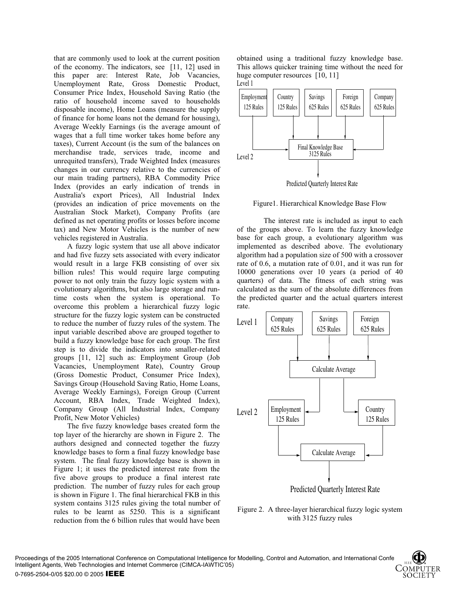that are commonly used to look at the current position of the economy. The indicators, see [11, 12] used in this paper are: Interest Rate, Job Vacancies, Unemployment Rate, Gross Domestic Product, Consumer Price Index, Household Saving Ratio (the ratio of household income saved to households disposable income), Home Loans (measure the supply of finance for home loans not the demand for housing), Average Weekly Earnings (is the average amount of wages that a full time worker takes home before any taxes), Current Account (is the sum of the balances on merchandise trade, services trade, income and unrequited transfers), Trade Weighted Index (measures changes in our currency relative to the currencies of our main trading partners), RBA Commodity Price Index (provides an early indication of trends in Australia's export Prices), All Industrial Index (provides an indication of price movements on the Australian Stock Market), Company Profits (are defined as net operating profits or losses before income tax) and New Motor Vehicles is the number of new vehicles registered in Australia.

A fuzzy logic system that use all above indicator and had five fuzzy sets associated with every indicator would result in a large FKB consisting of over six billion rules! This would require large computing power to not only train the fuzzy logic system with a evolutionary algorithms, but also large storage and runtime costs when the system is operational. To overcome this problem a hierarchical fuzzy logic structure for the fuzzy logic system can be constructed to reduce the number of fuzzy rules of the system. The input variable described above are grouped together to build a fuzzy knowledge base for each group. The first step is to divide the indicators into smaller-related groups [11, 12] such as: Employment Group (Job Vacancies, Unemployment Rate), Country Group (Gross Domestic Product, Consumer Price Index), Savings Group (Household Saving Ratio, Home Loans, Average Weekly Earnings), Foreign Group (Current Account, RBA Index, Trade Weighted Index), Company Group (All Industrial Index, Company Profit, New Motor Vehicles)

The five fuzzy knowledge bases created form the top layer of the hierarchy are shown in Figure 2. The authors designed and connected together the fuzzy knowledge bases to form a final fuzzy knowledge base system. The final fuzzy knowledge base is shown in Figure 1; it uses the predicted interest rate from the five above groups to produce a final interest rate prediction. The number of fuzzy rules for each group is shown in Figure 1. The final hierarchical FKB in this system contains 3125 rules giving the total number of rules to be learnt as 5250. This is a significant reduction from the 6 billion rules that would have been

obtained using a traditional fuzzy knowledge base. This allows quicker training time without the need for huge computer resources [10, 11]



Figure1. Hierarchical Knowledge Base Flow

The interest rate is included as input to each of the groups above. To learn the fuzzy knowledge base for each group, a evolutionary algorithm was implemented as described above. The evolutionary algorithm had a population size of 500 with a crossover rate of 0.6, a mutation rate of 0.01, and it was run for 10000 generations over 10 years (a period of 40 quarters) of data. The fitness of each string was calculated as the sum of the absolute differences from the predicted quarter and the actual quarters interest rate.



Figure 2. A three-layer hierarchical fuzzy logic system with 3125 fuzzy rules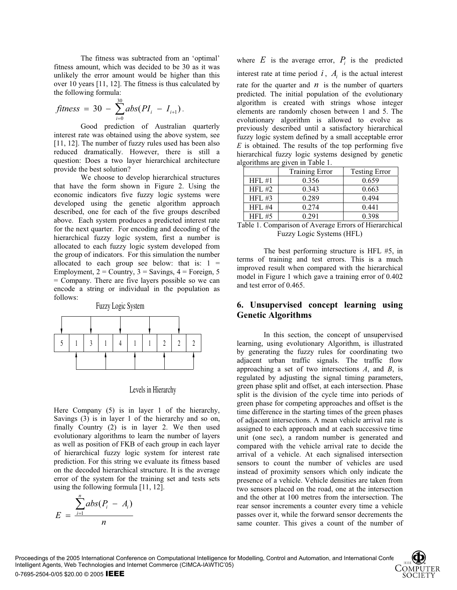The fitness was subtracted from an 'optimal' fitness amount, which was decided to be 30 as it was unlikely the error amount would be higher than this over 10 years [11, 12]. The fitness is thus calculated by the following formula:

$$
fitness = 30 - \sum_{i=0}^{30} abs(PI_i - I_{i+1}).
$$

Good prediction of Australian quarterly interest rate was obtained using the above system, see [11, 12]. The number of fuzzy rules used has been also reduced dramatically. However, there is still a question: Does a two layer hierarchical architecture provide the best solution?

We choose to develop hierarchical structures that have the form shown in Figure 2. Using the economic indicators five fuzzy logic systems were developed using the genetic algorithm approach described, one for each of the five groups described above. Each system produces a predicted interest rate for the next quarter. For encoding and decoding of the hierarchical fuzzy logic system, first a number is allocated to each fuzzy logic system developed from the group of indicators. For this simulation the number allocated to each group see below: that is:  $1 =$ Employment,  $2 =$  Country,  $3 =$  Savings,  $4 =$  Foreign,  $5$ = Company. There are five layers possible so we can encode a string or individual in the population as follows:





Levels in Hierarchy

Here Company (5) is in layer 1 of the hierarchy, Savings (3) is in layer 1 of the hierarchy and so on, finally Country (2) is in layer 2. We then used evolutionary algorithms to learn the number of layers as well as position of FKB of each group in each layer of hierarchical fuzzy logic system for interest rate prediction. For this string we evaluate its fitness based on the decoded hierarchical structure. It is the average error of the system for the training set and tests sets using the following formula [11, 12].

$$
E = \frac{\sum_{i=1}^{n}abs(P_i - A_i)}{n}
$$

where  $E$  is the average error,  $P_i$  is the predicted interest rate at time period  $i$ ,  $A_i$  is the actual interest rate for the quarter and  $n$  is the number of quarters predicted. The initial population of the evolutionary algorithm is created with strings whose integer elements are randomly chosen between 1 and 5. The evolutionary algorithm is allowed to evolve as previously described until a satisfactory hierarchical fuzzy logic system defined by a small acceptable error *E* is obtained. The results of the top performing five hierarchical fuzzy logic systems designed by genetic algorithms are given in Table 1.

|       | <b>Training Error</b> | <b>Testing Error</b> |  |  |  |
|-------|-----------------------|----------------------|--|--|--|
| HFL#1 | 0.356                 | 0.659                |  |  |  |
| HFL#2 | 0.343                 | 0.663                |  |  |  |
| HFL#3 | 0.289                 | 0.494                |  |  |  |
| HFL#4 | 0.274                 | 0.441                |  |  |  |
| HFL#5 | 0.291                 | 0.398                |  |  |  |

Table 1. Comparison of Average Errors of Hierarchical Fuzzy Logic Systems (HFL)

The best performing structure is HFL #5, in terms of training and test errors. This is a much improved result when compared with the hierarchical model in Figure 1 which gave a training error of 0.402 and test error of 0.465.

### **6. Unsupervised concept learning using Genetic Algorithms**

In this section, the concept of unsupervised learning, using evolutionary Algorithm, is illustrated by generating the fuzzy rules for coordinating two adjacent urban traffic signals. The traffic flow approaching a set of two intersections *A*, and *B*, is regulated by adjusting the signal timing parameters, green phase split and offset, at each intersection. Phase split is the division of the cycle time into periods of green phase for competing approaches and offset is the time difference in the starting times of the green phases of adjacent intersections. A mean vehicle arrival rate is assigned to each approach and at each successive time unit (one sec), a random number is generated and compared with the vehicle arrival rate to decide the arrival of a vehicle. At each signalised intersection sensors to count the number of vehicles are used instead of proximity sensors which only indicate the presence of a vehicle. Vehicle densities are taken from two sensors placed on the road, one at the intersection and the other at 100 metres from the intersection. The rear sensor increments a counter every time a vehicle passes over it, while the forward sensor decrements the same counter. This gives a count of the number of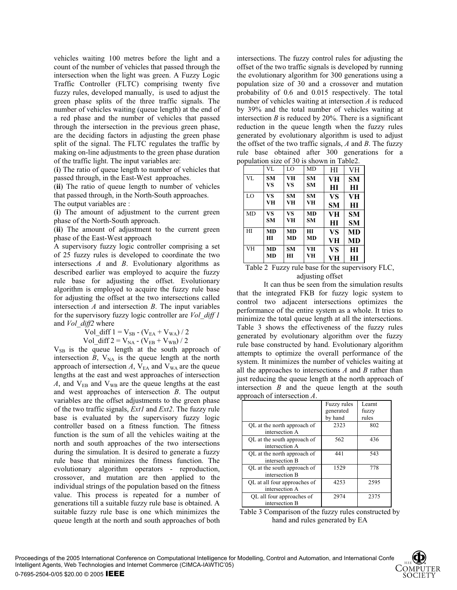vehicles waiting 100 metres before the light and a count of the number of vehicles that passed through the intersection when the light was green. A Fuzzy Logic Traffic Controller (FLTC) comprising twenty five fuzzy rules, developed manually, is used to adjust the green phase splits of the three traffic signals. The number of vehicles waiting (queue length) at the end of a red phase and the number of vehicles that passed through the intersection in the previous green phase, are the deciding factors in adjusting the green phase split of the signal. The FLTC regulates the traffic by making on-line adjustments to the green phase duration of the traffic light. The input variables are:

(**i**) The ratio of queue length to number of vehicles that passed through, in the East-West approaches.

(**ii**) The ratio of queue length to number of vehicles that passed through, in the North-South approaches. The output variables are :

(**i**) The amount of adjustment to the current green phase of the North-South approach.

(**ii**) The amount of adjustment to the current green phase of the East-West approach

A supervisory fuzzy logic controller comprising a set of 25 fuzzy rules is developed to coordinate the two intersections *A* and *B*. Evolutionary algorithms as described earlier was employed to acquire the fuzzy rule base for adjusting the offset. Evolutionary algorithm is employed to acquire the fuzzy rule base for adjusting the offset at the two intersections called intersection *A* and intersection *B*. The input variables for the supervisory fuzzy logic controller are *Vol\_diff 1* and *Vol\_diff2* where

Vol\_diff  $1 = V_{SB} - (V_{EA} + V_{WA}) / 2$ 

 $Vol\_diff 2 = V_{NA} - (V_{EB} + V_{WB}) / 2$ 

 $V_{SB}$  is the queue length at the south approach of intersection  $B$ ,  $V_{NA}$  is the queue length at the north approach of intersection  $A$ ,  $V_{EA}$  and  $V_{WA}$  are the queue lengths at the east and west approaches of intersection  $A$ , and  $V_{EB}$  and  $V_{WB}$  are the queue lengths at the east and west approaches of intersection *B*. The output variables are the offset adjustments to the green phase of the two traffic signals, *Ext1* and *Ext2*. The fuzzy rule base is evaluated by the supervisory fuzzy logic controller based on a fitness function. The fitness function is the sum of all the vehicles waiting at the north and south approaches of the two intersections during the simulation. It is desired to generate a fuzzy rule base that minimizes the fitness function. The evolutionary algorithm operators - reproduction, crossover, and mutation are then applied to the individual strings of the population based on the fitness value. This process is repeated for a number of generations till a suitable fuzzy rule base is obtained. A suitable fuzzy rule base is one which minimizes the queue length at the north and south approaches of both

intersections. The fuzzy control rules for adjusting the offset of the two traffic signals is developed by running the evolutionary algorithm for 300 generations using a population size of 30 and a crossover and mutation probability of 0.6 and 0.015 respectively. The total number of vehicles waiting at intersection *A* is reduced by 39% and the total number of vehicles waiting at intersection  $B$  is reduced by 20%. There is a significant reduction in the queue length when the fuzzy rules generated by evolutionary algorithm is used to adjust the offset of the two traffic signals, *A* and *B*. The fuzzy rule base obtained after 300 generations for a population size of 30 is shown in Table2.

|           |           |           | $\sigma$ and $\sigma$ and $\sigma$ and $\sigma$ are $\sigma$ and $\sigma$ and $\sigma$ |           |           |
|-----------|-----------|-----------|----------------------------------------------------------------------------------------|-----------|-----------|
|           | VI.       | LO        | <b>MD</b>                                                                              | HI        | VH        |
| VI.       | <b>SM</b> | VH        | <b>SM</b>                                                                              | <b>VH</b> | <b>SM</b> |
|           | VS        | VS        | <b>SM</b>                                                                              | HI        | Ш         |
| LO        | VS        | <b>SM</b> | <b>SM</b>                                                                              | <b>VS</b> | <b>VH</b> |
|           | VH        | VH        | VH                                                                                     | <b>SM</b> | HІ        |
| <b>MD</b> | <b>VS</b> | <b>VS</b> | <b>MD</b>                                                                              | <b>VH</b> | <b>SM</b> |
|           | <b>SM</b> | VH        | <b>SM</b>                                                                              | НI        | <b>SM</b> |
| HI        | <b>MD</b> | <b>MD</b> | HI                                                                                     | VS        | <b>MD</b> |
|           | HІ        | <b>MD</b> | MD                                                                                     | <b>VH</b> | <b>MD</b> |
| <b>VH</b> | <b>MD</b> | <b>SM</b> | VH                                                                                     | VS        | HІ        |
|           | MD        | HІ        | VH                                                                                     | <b>VH</b> | HІ        |

| Table 2 Fuzzy rule base for the supervisory FLC, |
|--------------------------------------------------|
| adjusting offset                                 |

It can thus be seen from the simulation results that the integrated FKB for fuzzy logic system to control two adjacent intersections optimizes the performance of the entire system as a whole. It tries to minimize the total queue length at all the intersections. Table 3 shows the effectiveness of the fuzzy rules generated by evolutionary algorithm over the fuzzy rule base constructed by hand. Evolutionary algorithm attempts to optimize the overall performance of the system. It minimizes the number of vehicles waiting at all the approaches to intersections *A* and *B* rather than just reducing the queue length at the north approach of intersection *B* and the queue length at the south approach of intersection *A*.

| rpproach of intersection 21.                   |                          |                 |
|------------------------------------------------|--------------------------|-----------------|
|                                                | Fuzzy rules<br>generated | Learnt<br>fuzzy |
|                                                | by hand                  | rules           |
| QL at the north approach of<br>intersection A  | 2323                     | 802             |
| QL at the south approach of<br>intersection A  | 562                      | 436             |
| QL at the north approach of<br>intersection B  | 441                      | 543             |
| QL at the south approach of<br>intersection B  | 1529                     | 778             |
| QL at all four approaches of<br>intersection A | 4253                     | 2595            |
| QL all four approaches of<br>intersection B    | 2974                     | 2375            |

| Table 3 Comparison of the fuzzy rules constructed by |  |
|------------------------------------------------------|--|
| hand and rules generated by EA                       |  |

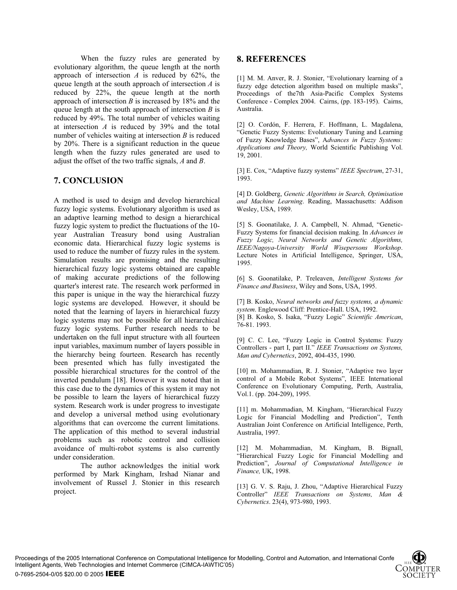When the fuzzy rules are generated by evolutionary algorithm, the queue length at the north approach of intersection  $A$  is reduced by 62%, the queue length at the south approach of intersection *A* is reduced by 22%, the queue length at the north approach of intersection *B* is increased by 18% and the queue length at the south approach of intersection *B* is reduced by 49%. The total number of vehicles waiting at intersection *A* is reduced by 39% and the total number of vehicles waiting at intersection *B* is reduced by 20%. There is a significant reduction in the queue length when the fuzzy rules generated are used to adjust the offset of the two traffic signals, *A* and *B*.

## **7. CONCLUSION**

A method is used to design and develop hierarchical fuzzy logic systems. Evolutionary algorithm is used as an adaptive learning method to design a hierarchical fuzzy logic system to predict the fluctuations of the 10 year Australian Treasury bond using Australian economic data. Hierarchical fuzzy logic systems is used to reduce the number of fuzzy rules in the system. Simulation results are promising and the resulting hierarchical fuzzy logic systems obtained are capable of making accurate predictions of the following quarter's interest rate. The research work performed in this paper is unique in the way the hierarchical fuzzy logic systems are developed. However, it should be noted that the learning of layers in hierarchical fuzzy logic systems may not be possible for all hierarchical fuzzy logic systems. Further research needs to be undertaken on the full input structure with all fourteen input variables, maximum number of layers possible in the hierarchy being fourteen. Research has recently been presented which has fully investigated the possible hierarchical structures for the control of the inverted pendulum [18]. However it was noted that in this case due to the dynamics of this system it may not be possible to learn the layers of hierarchical fuzzy system. Research work is under progress to investigate and develop a universal method using evolutionary algorithms that can overcome the current limitations. The application of this method to several industrial problems such as robotic control and collision avoidance of multi-robot systems is also currently under consideration.

The author acknowledges the initial work performed by Mark Kingham, Irshad Nianar and involvement of Russel J. Stonier in this research project.

## **8. REFERENCES**

[1] M. M. Anver, R. J. Stonier, "Evolutionary learning of a fuzzy edge detection algorithm based on multiple masks", Proceedings of the7th Asia-Pacific Complex Systems Conference - Complex 2004. Cairns, (pp. 183-195). Cairns, Australia.

[2] O. Cordón, F. Herrera, F. Hoffmann, L. Magdalena, "Genetic Fuzzy Systems: Evolutionary Tuning and Learning of Fuzzy Knowledge Bases", A*dvances in Fuzzy Systems: Applications and Theory,* World Scientific Publishing Vol. 19, 2001.

[3] E. Cox, "Adaptive fuzzy systems" *IEEE Spectrum*, 27-31, 1993.

[4] D. Goldberg, *Genetic Algorithms in Search, Optimisation and Machine Learning*. Reading, Massachusetts: Addison Wesley, USA, 1989.

[5] S. Goonatilake, J. A. Campbell, N. Ahmad, "Genetic-Fuzzy Systems for financial decision making. In *Advances in Fuzzy Logic, Neural Networks and Genetic Algorithms, IEEE/Nagoya-University World Wisepersons Workshop*. Lecture Notes in Artificial Intelligence, Springer, USA, 1995.

[6] S. Goonatilake, P. Treleaven, *Intelligent Systems for Finance and Business*, Wiley and Sons, USA, 1995.

[7] B. Kosko, *Neural networks and fuzzy systems, a dynamic system*. Englewood Cliff: Prentice-Hall. USA, 1992. [8] B. Kosko, S. Isaka, "Fuzzy Logic" *Scientific American*, 76-81. 1993.

[9] C. C. Lee, "Fuzzy Logic in Control Systems: Fuzzy Controllers - part I, part II." *IEEE Transactions on Systems, Man and Cybernetics*, 2092, 404-435, 1990.

[10] m. Mohammadian, R. J. Stonier, "Adaptive two layer control of a Mobile Robot Systems", IEEE International Conference on Evolutionary Computing, Perth, Australia, Vol.1. (pp. 204-209), 1995.

[11] m. Mohammadian, M. Kingham, "Hierarchical Fuzzy Logic for Financial Modelling and Prediction", Tenth Australian Joint Conference on Artificial Intelligence, Perth, Australia, 1997.

[12] M. Mohammadian, M. Kingham, B. Bignall, "Hierarchical Fuzzy Logic for Financial Modelling and Prediction", *Journal of Computational Intelligence in Finance,* UK, 1998.

[13] G. V. S. Raju, J. Zhou, "Adaptive Hierarchical Fuzzy Controller" *IEEE Transactions on Systems, Man & Cybernetics*. 23(4), 973-980, 1993.